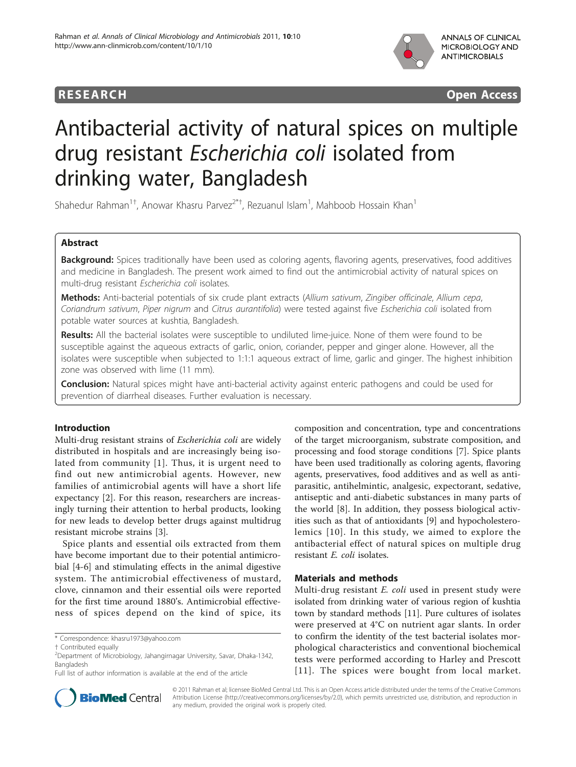



# Antibacterial activity of natural spices on multiple drug resistant Escherichia coli isolated from drinking water, Bangladesh

Shahedur Rahman<sup>1†</sup>, Anowar Khasru Parvez<sup>2\*†</sup>, Rezuanul Islam<sup>1</sup>, Mahboob Hossain Khan<sup>1</sup>

# Abstract

Background: Spices traditionally have been used as coloring agents, flavoring agents, preservatives, food additives and medicine in Bangladesh. The present work aimed to find out the antimicrobial activity of natural spices on multi-drug resistant Escherichia coli isolates.

Methods: Anti-bacterial potentials of six crude plant extracts (Allium sativum, Zingiber officinale, Allium cepa, Coriandrum sativum, Piper nigrum and Citrus aurantifolia) were tested against five Escherichia coli isolated from potable water sources at kushtia, Bangladesh.

Results: All the bacterial isolates were susceptible to undiluted lime-juice. None of them were found to be susceptible against the aqueous extracts of garlic, onion, coriander, pepper and ginger alone. However, all the isolates were susceptible when subjected to 1:1:1 aqueous extract of lime, garlic and ginger. The highest inhibition zone was observed with lime (11 mm).

**Conclusion:** Natural spices might have anti-bacterial activity against enteric pathogens and could be used for prevention of diarrheal diseases. Further evaluation is necessary.

# Introduction

Multi-drug resistant strains of Escherichia coli are widely distributed in hospitals and are increasingly being isolated from community [\[1\]](#page-2-0). Thus, it is urgent need to find out new antimicrobial agents. However, new families of antimicrobial agents will have a short life expectancy [[2](#page-2-0)]. For this reason, researchers are increasingly turning their attention to herbal products, looking for new leads to develop better drugs against multidrug resistant microbe strains [[3\]](#page-2-0).

Spice plants and essential oils extracted from them have become important due to their potential antimicrobial [\[4](#page-2-0)-[6\]](#page-2-0) and stimulating effects in the animal digestive system. The antimicrobial effectiveness of mustard, clove, cinnamon and their essential oils were reported for the first time around 1880's. Antimicrobial effectiveness of spices depend on the kind of spice, its

\* Correspondence: [khasru1973@yahoo.com](mailto:khasru1973@yahoo.com)



## Materials and methods

Multi-drug resistant *E. coli* used in present study were isolated from drinking water of various region of kushtia town by standard methods [\[11](#page-2-0)]. Pure cultures of isolates were preserved at 4°C on nutrient agar slants. In order to confirm the identity of the test bacterial isolates morphological characteristics and conventional biochemical tests were performed according to Harley and Prescott [[11](#page-2-0)]. The spices were bought from local market.



© 2011 Rahman et al; licensee BioMed Central Ltd. This is an Open Access article distributed under the terms of the Creative Commons Attribution License [\(http://creativecommons.org/licenses/by/2.0](http://creativecommons.org/licenses/by/2.0)), which permits unrestricted use, distribution, and reproduction in any medium, provided the original work is properly cited.

<sup>†</sup> Contributed equally <sup>2</sup>

Department of Microbiology, Jahangirnagar University, Savar, Dhaka-1342, Bangladesh

Full list of author information is available at the end of the article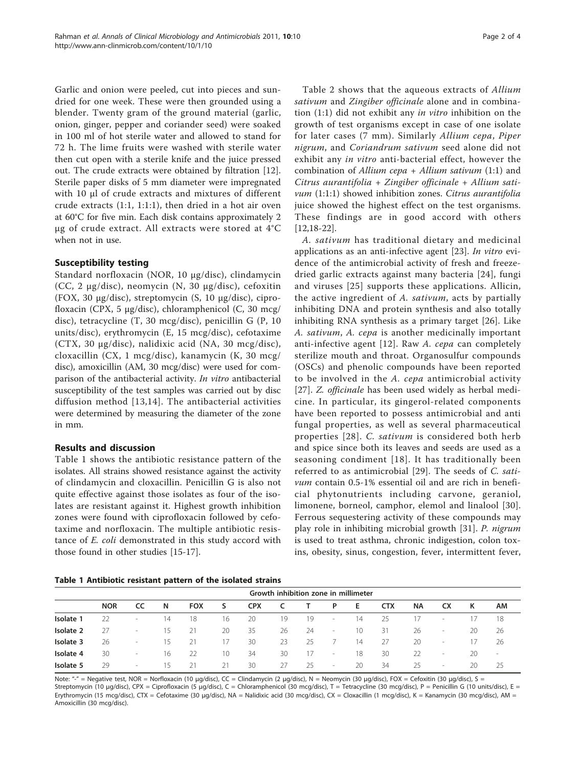Garlic and onion were peeled, cut into pieces and sundried for one week. These were then grounded using a blender. Twenty gram of the ground material (garlic, onion, ginger, pepper and coriander seed) were soaked in 100 ml of hot sterile water and allowed to stand for 72 h. The lime fruits were washed with sterile water then cut open with a sterile knife and the juice pressed out. The crude extracts were obtained by filtration [\[12](#page-2-0)]. Sterile paper disks of 5 mm diameter were impregnated with 10 μl of crude extracts and mixtures of different crude extracts (1:1, 1:1:1), then dried in a hot air oven at 60°C for five min. Each disk contains approximately 2 μg of crude extract. All extracts were stored at 4°C when not in use.

## Susceptibility testing

Standard norfloxacin (NOR, 10 μg/disc), clindamycin (CC, 2 μg/disc), neomycin (N, 30 μg/disc), cefoxitin (FOX, 30 μg/disc), streptomycin (S, 10 μg/disc), ciprofloxacin (CPX, 5 μg/disc), chloramphenicol (C, 30 mcg/ disc), tetracycline (T, 30 mcg/disc), penicillin G (P, 10 units/disc), erythromycin (E, 15 mcg/disc), cefotaxime (CTX, 30 μg/disc), nalidixic acid (NA, 30 mcg/disc), cloxacillin (CX, 1 mcg/disc), kanamycin (K, 30 mcg/ disc), amoxicillin (AM, 30 mcg/disc) were used for comparison of the antibacterial activity. In vitro antibacterial susceptibility of the test samples was carried out by disc diffusion method [[13](#page-2-0),[14](#page-2-0)]. The antibacterial activities were determined by measuring the diameter of the zone in mm.

# Results and discussion

Table 1 shows the antibiotic resistance pattern of the isolates. All strains showed resistance against the activity of clindamycin and cloxacillin. Penicillin G is also not quite effective against those isolates as four of the isolates are resistant against it. Highest growth inhibition zones were found with ciprofloxacin followed by cefotaxime and norfloxacin. The multiple antibiotic resistance of E. coli demonstrated in this study accord with those found in other studies [\[15](#page-2-0)[-17](#page-3-0)].

Table [2](#page-2-0) shows that the aqueous extracts of Allium sativum and Zingiber officinale alone and in combination (1:1) did not exhibit any in vitro inhibition on the growth of test organisms except in case of one isolate for later cases (7 mm). Similarly Allium cepa, Piper nigrum, and Coriandrum sativum seed alone did not exhibit any in vitro anti-bacterial effect, however the combination of Allium cepa  $+$  Allium sativum (1:1) and Citrus aurantifolia + Zingiber officinale + Allium sativum (1:1:1) showed inhibition zones. Citrus aurantifolia juice showed the highest effect on the test organisms. These findings are in good accord with others [[12,](#page-2-0)[18-22\]](#page-3-0).

A. sativum has traditional dietary and medicinal applications as an anti-infective agent [[23\]](#page-3-0). In vitro evidence of the antimicrobial activity of fresh and freezedried garlic extracts against many bacteria [[24](#page-3-0)], fungi and viruses [[25\]](#page-3-0) supports these applications. Allicin, the active ingredient of A. sativum, acts by partially inhibiting DNA and protein synthesis and also totally inhibiting RNA synthesis as a primary target [[26\]](#page-3-0). Like A. sativum, A. cepa is another medicinally important anti-infective agent [[12](#page-2-0)]. Raw A. cepa can completely sterilize mouth and throat. Organosulfur compounds (OSCs) and phenolic compounds have been reported to be involved in the A. cepa antimicrobial activity [[27\]](#page-3-0). Z. officinale has been used widely as herbal medicine. In particular, its gingerol-related components have been reported to possess antimicrobial and anti fungal properties, as well as several pharmaceutical properties [[28](#page-3-0)]. C. sativum is considered both herb and spice since both its leaves and seeds are used as a seasoning condiment [[18\]](#page-3-0). It has traditionally been referred to as antimicrobial [[29\]](#page-3-0). The seeds of C. sativum contain 0.5-1% essential oil and are rich in beneficial phytonutrients including carvone, geraniol, limonene, borneol, camphor, elemol and linalool [[30](#page-3-0)]. Ferrous sequestering activity of these compounds may play role in inhibiting microbial growth [[31\]](#page-3-0). P. nigrum is used to treat asthma, chronic indigestion, colon toxins, obesity, sinus, congestion, fever, intermittent fever,

|  |  | Table 1 Antibiotic resistant pattern of the isolated strains |  |  |  |  |  |  |
|--|--|--------------------------------------------------------------|--|--|--|--|--|--|
|--|--|--------------------------------------------------------------|--|--|--|--|--|--|

|           | Growth inhibition zone in millimeter |                          |     |            |    |            |    |     |                          |    |            |           |                          |     |                  |
|-----------|--------------------------------------|--------------------------|-----|------------|----|------------|----|-----|--------------------------|----|------------|-----------|--------------------------|-----|------------------|
|           | <b>NOR</b>                           | cc                       | N   | <b>FOX</b> | s  | <b>CPX</b> |    |     | P                        | Е  | <b>CTX</b> | <b>NA</b> | СX                       | к   | АM               |
| Isolate 1 |                                      | $\sim$                   | 14  | 18         | 16 | 20         | 19 | 19  | $\overline{\phantom{a}}$ | 14 | 25         | 17        | $\,$                     |     | 18               |
| Isolate 2 | 27                                   | $\sim$                   | 15. | 21         | 20 | 35         | 26 | -24 | $\sim$                   | 10 | 31         | 26        | $\overline{\phantom{a}}$ | 20  | 26               |
| Isolate 3 | 26                                   | $\overline{\phantom{a}}$ | 15. | 21         | 17 | 30         | 23 | 25  |                          | 14 | 27         | 20        | $\overline{\phantom{a}}$ | 17. | 26               |
| Isolate 4 | 30                                   | $\sim$                   | 16  | 22         | 10 | 34         | 30 | 17  | $\overline{\phantom{a}}$ | 18 | 30         | 22        | $\overline{\phantom{a}}$ | 20  | $\hspace{0.1mm}$ |
| Isolate 5 | 29                                   | $\sim$                   | 15. | 21         | 21 | 30         | 27 | -25 | $\sim$                   | 20 | 34         | 25        | $\overline{\phantom{a}}$ | 20  | 25               |

Note: "-" = Negative test, NOR = Norfloxacin (10 μg/disc), CC = Clindamycin (2 μg/disc), N = Neomycin (30 μg/disc), FOX = Cefoxitin (30 μg/disc), S = Streptomycin (10 μg/disc), CPX = Ciprofloxacin (5 μg/disc), C = Chloramphenicol (30 mcg/disc), T = Tetracycline (30 mcg/disc), P = Penicillin G (10 units/disc), E = Erythromycin (15 mcg/disc), CTX = Cefotaxime (30 μg/disc), NA = Nalidixic acid (30 mcg/disc), CX = Cloxacillin (1 mcg/disc), K = Kanamycin (30 mcg/disc), AM = Amoxicillin (30 mcg/disc).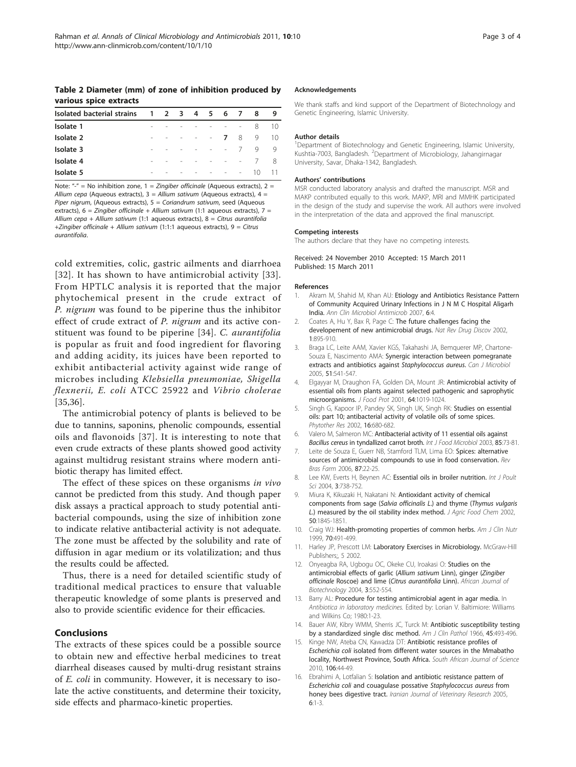<span id="page-2-0"></span>Table 2 Diameter (mm) of zone of inhibition produced by various spice extracts

| Isolated bacterial strains 1 2 3 4 5 6 7 |                |  |                            |                  |        |   | -8               | 9   |
|------------------------------------------|----------------|--|----------------------------|------------------|--------|---|------------------|-----|
| Isolate 1                                | ۰              |  | the company of the company |                  |        |   | 8                | 10  |
| Isolate 2                                | $\overline{a}$ |  | - - - - 7                  |                  |        | 8 | 9                | -10 |
| Isolate 3                                | ۰              |  | - - - - 7                  |                  |        |   | q                | - Q |
| Isolate 4                                |                |  |                            | $\sim$ 100 $\pm$ | $   /$ |   |                  | 8   |
| Isolate 5                                | -              |  | the company of the company |                  |        |   | $\overline{1}()$ |     |

Note: "-" = No inhibition zone,  $1 = Zingiber$  officinale (Aqueous extracts),  $2 =$ Allium cepa (Aqueous extracts),  $3 =$  Allium sativum (Aqueous extracts), 4 = Piper nigrum, (Aqueous extracts), 5 = Coriandrum sativum, seed (Aqueous extracts),  $6 = Z$ ingiber officinale + Allium sativum (1:1 aqueous extracts),  $7 =$ Allium cepa + Allium sativum (1:1 aqueous extracts),  $8 =$  Citrus aurantifolia +Zingiber officinale + Allium sativum (1:1:1 aqueous extracts), 9 = Citrus aurantifolia.

cold extremities, colic, gastric ailments and diarrhoea [[32](#page-3-0)]. It has shown to have antimicrobial activity [[33\]](#page-3-0). From HPTLC analysis it is reported that the major phytochemical present in the crude extract of P. nigrum was found to be piperine thus the inhibitor effect of crude extract of P. nigrum and its active constituent was found to be piperine [[34\]](#page-3-0). C. aurantifolia is popular as fruit and food ingredient for flavoring and adding acidity, its juices have been reported to exhibit antibacterial activity against wide range of microbes including Klebsiella pneumoniae, Shigella flexnerii, E. coli ATCC 25922 and Vibrio cholerae [[35,36](#page-3-0)].

The antimicrobial potency of plants is believed to be due to tannins, saponins, phenolic compounds, essential oils and flavonoids [[37](#page-3-0)]. It is interesting to note that even crude extracts of these plants showed good activity against multidrug resistant strains where modern antibiotic therapy has limited effect.

The effect of these spices on these organisms in vivo cannot be predicted from this study. And though paper disk assays a practical approach to study potential antibacterial compounds, using the size of inhibition zone to indicate relative antibacterial activity is not adequate. The zone must be affected by the solubility and rate of diffusion in agar medium or its volatilization; and thus the results could be affected.

Thus, there is a need for detailed scientific study of traditional medical practices to ensure that valuable therapeutic knowledge of some plants is preserved and also to provide scientific evidence for their efficacies.

## Conclusions

The extracts of these spices could be a possible source to obtain new and effective herbal medicines to treat diarrheal diseases caused by multi-drug resistant strains of E. coli in community. However, it is necessary to isolate the active constituents, and determine their toxicity, side effects and pharmaco-kinetic properties.

#### Acknowledgements

We thank staffs and kind support of the Department of Biotechnology and Genetic Engineering, Islamic University.

#### Author details

<sup>1</sup>Department of Biotechnology and Genetic Engineering, Islamic University, Kushtia-7003, Bangladesh. <sup>2</sup> Department of Microbiology, Jahangirnagar University, Savar, Dhaka-1342, Bangladesh.

#### Authors' contributions

MSR conducted laboratory analysis and drafted the manuscript. MSR and MAKP contributed equally to this work. MAKP, MRI and MMHK participated in the design of the study and supervise the work. All authors were involved in the interpretation of the data and approved the final manuscript.

#### Competing interests

The authors declare that they have no competing interests.

Received: 24 November 2010 Accepted: 15 March 2011 Published: 15 March 2011

#### References

- Akram M, Shahid M, Khan AU: [Etiology and Antibiotics Resistance Pattern](http://www.ncbi.nlm.nih.gov/pubmed/17378940?dopt=Abstract) [of Community Acquired Urinary Infections in J N M C Hospital Aligarh](http://www.ncbi.nlm.nih.gov/pubmed/17378940?dopt=Abstract) [India.](http://www.ncbi.nlm.nih.gov/pubmed/17378940?dopt=Abstract) Ann Clin Microbiol Antimicrob 2007, 6:4.
- Coates A, Hu Y, Bax R, Page C: [The future challenges facing the](http://www.ncbi.nlm.nih.gov/pubmed/12415249?dopt=Abstract) [developement of new antimicrobial drugs.](http://www.ncbi.nlm.nih.gov/pubmed/12415249?dopt=Abstract) Nat Rev Drug Discov 2002, 1:895-910.
- 3. Braga LC, Leite AAM, Xavier KGS, Takahashi JA, Bemquerer MP, Chartone-Souza E, Nascimento AMA: [Synergic interaction between pomegranate](http://www.ncbi.nlm.nih.gov/pubmed/16175202?dopt=Abstract) [extracts and antibiotics against](http://www.ncbi.nlm.nih.gov/pubmed/16175202?dopt=Abstract) Staphylococcus aureus. Can J Microbiol 2005, 51:541-547.
- 4. Elgayyar M, Draughon FA, Golden DA, Mount JR: [Antimicrobial activity of](http://www.ncbi.nlm.nih.gov/pubmed/11456186?dopt=Abstract) [essential oils from plants against selected pathogenic and saprophytic](http://www.ncbi.nlm.nih.gov/pubmed/11456186?dopt=Abstract) [microorganisms.](http://www.ncbi.nlm.nih.gov/pubmed/11456186?dopt=Abstract) J Food Prot 2001, 64:1019-1024.
- 5. Singh G, Kapoor IP, Pandey SK, Singh UK, Singh RK: [Studies on essential](http://www.ncbi.nlm.nih.gov/pubmed/12410554?dopt=Abstract) [oils: part 10; antibacterial activity of volatile oils of some spices.](http://www.ncbi.nlm.nih.gov/pubmed/12410554?dopt=Abstract) Phytother Res 2002, 16:680-682.
- 6. Valero M, Salmeron MC: [Antibacterial activity of 11 essential oils against](http://www.ncbi.nlm.nih.gov/pubmed/12810272?dopt=Abstract) Bacillus cereus [in tyndallized carrot broth.](http://www.ncbi.nlm.nih.gov/pubmed/12810272?dopt=Abstract) Int J Food Microbiol 2003, 85:73-81.
- 7. Leite de Souza E, Guerr NB, Stamford TLM, Lima EO: Spices: alternative sources of antimicrobial compounds to use in food conservation. Rev Bras Farm 2006, 87:22-25.
- 8. Lee KW, Everts H, Beynen AC: Essential oils in broiler nutrition. Int J Poult Sci 2004, 3:738-752.
- 9. Miura K, Kikuzaki H, Nakatani N: [Antioxidant activity of chemical](http://www.ncbi.nlm.nih.gov/pubmed/11902922?dopt=Abstract) [components from sage \(](http://www.ncbi.nlm.nih.gov/pubmed/11902922?dopt=Abstract)Salvia officinalis L.) and thyme (Thymus vulgaris L[.\) measured by the oil stability index method.](http://www.ncbi.nlm.nih.gov/pubmed/11902922?dopt=Abstract) J Agric Food Chem 2002, 50:1845-1851.
- 10. Craig WJ: Health-promoting properties of common herbs. Am J Clin Nutr 1999, 70:491-499.
- 11. Harley JP, Prescott LM: Laboratory Exercises in Microbiology. McGraw-Hill Publishers;, 5 2002.
- 12. Onyeagba RA, Ugbogu OC, Okeke CU, Iroakasi O: Studies on the antimicrobial effects of garlic (Allium sativum Linn), ginger (Zingiber officinale Roscoe) and lime (Citrus aurantifolia Linn). African Journal of Biotechnology 2004, 3:552-554.
- 13. Barry AL: Procedure for testing antimicrobial agent in agar media. In Antibiotica in laboratory medicines. Edited by: Lorian V. Baltimiore: Williams and Wilkins Co; 1980:1-23.
- 14. Bauer AW, Kibry WMM, Sherris JC, Turck M: [Antibiotic susceptibility testing](http://www.ncbi.nlm.nih.gov/pubmed/5325707?dopt=Abstract) [by a standardized single disc method.](http://www.ncbi.nlm.nih.gov/pubmed/5325707?dopt=Abstract) Am J Clin Pathol 1966, 45:493-496.
- 15. Kinge NW, Ateba CN, Kawadza DT: Antibiotic resistance profiles of Escherichia coli isolated from different water sources in the Mmabatho locality, Northwest Province, South Africa. South African Journal of Science 2010, 106:44-49.
- 16. Ebrahimi A, Lotfalian S: Isolation and antibiotic resistance pattern of Escherichia coli and couagulase possative Staphylococcus aureus from honey bees digestive tract. Iranian Journal of Veterinary Research 2005, 6:1-3.